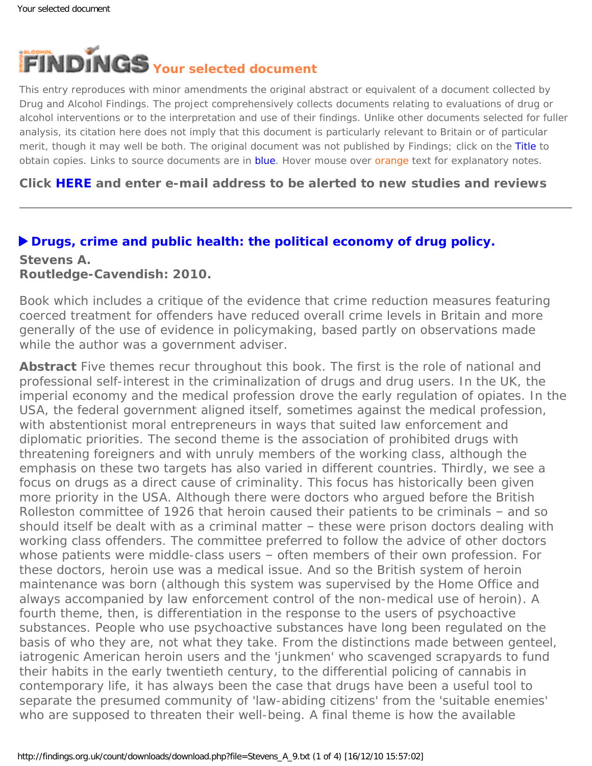

This entry reproduces with minor amendments the original abstract or equivalent of a document collected by Drug and Alcohol Findings. The project comprehensively collects documents relating to evaluations of drug or alcohol interventions or to the interpretation and use of their findings. Unlike other documents selected for fuller analysis, its citation here does not imply that this document is particularly relevant to Britain or of particular merit, though it may well be both. The original document was not published by Findings; click on the Title to obtain copies. Links to source documents are in **blue**. Hover mouse over orange text for explanatory notes.

### **Click [HERE](https://findings.org.uk/index.php#signUp) and enter e-mail address to be alerted to new studies and reviews**

# **[Drugs, crime and public health: the political economy of drug policy.](http://www.routledge.com/books/details/9780415491044/) Stevens A. Routledge-Cavendish: 2010.**

Book which includes a critique of the evidence that crime reduction measures featuring coerced treatment for offenders have reduced overall crime levels in Britain and more generally of the use of evidence in policymaking, based partly on observations made while the author was a government adviser.

**Abstract** Five themes recur throughout this book. The first is the role of national and professional self-interest in the criminalization of drugs and drug users. In the UK, the imperial economy and the medical profession drove the early regulation of opiates. In the USA, the federal government aligned itself, sometimes against the medical profession, with abstentionist moral entrepreneurs in ways that suited law enforcement and diplomatic priorities. The second theme is the association of prohibited drugs with threatening foreigners and with unruly members of the working class, although the emphasis on these two targets has also varied in different countries. Thirdly, we see a focus on drugs as a direct cause of criminality. This focus has historically been given more priority in the USA. Although there were doctors who argued before the British Rolleston committee of 1926 that heroin caused their patients to be criminals – and so should itself be dealt with as a criminal matter – these were prison doctors dealing with working class offenders. The committee preferred to follow the advice of other doctors whose patients were middle-class users – often members of their own profession. For these doctors, heroin use was a medical issue. And so the British system of heroin maintenance was born (although this system was supervised by the Home Office and always accompanied by law enforcement control of the non-medical use of heroin). A fourth theme, then, is differentiation in the response to the users of psychoactive substances. People who use psychoactive substances have long been regulated on the basis of who they are, not what they take. From the distinctions made between genteel, iatrogenic American heroin users and the 'junkmen' who scavenged scrapyards to fund their habits in the early twentieth century, to the differential policing of cannabis in contemporary life, it has always been the case that drugs have been a useful tool to separate the presumed community of 'law-abiding citizens' from the 'suitable enemies' who are supposed to threaten their well-being. A final theme is how the available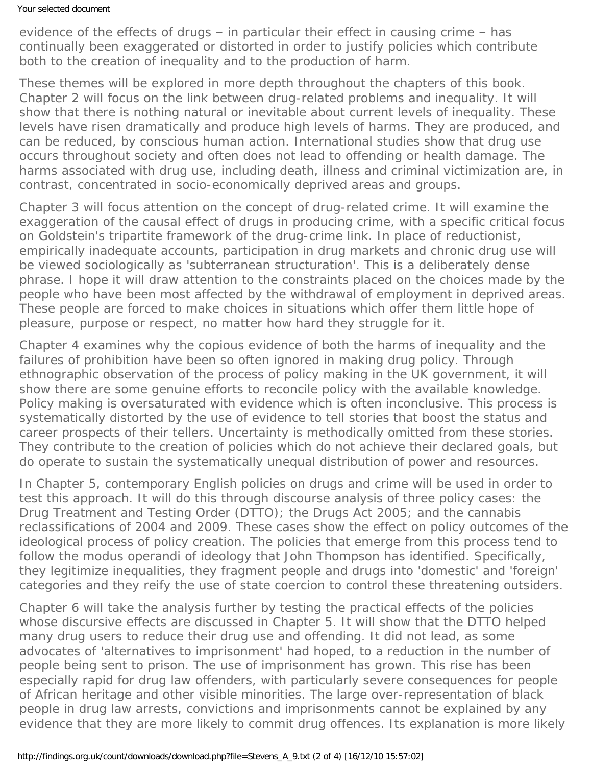### Your selected document

evidence of the effects of drugs – in particular their effect in causing crime – has continually been exaggerated or distorted in order to justify policies which contribute both to the creation of inequality and to the production of harm.

These themes will be explored in more depth throughout the chapters of this book. Chapter 2 will focus on the link between drug-related problems and inequality. It will show that there is nothing natural or inevitable about current levels of inequality. These levels have risen dramatically and produce high levels of harms. They are produced, and can be reduced, by conscious human action. International studies show that drug use occurs throughout society and often does not lead to offending or health damage. The harms associated with drug use, including death, illness and criminal victimization are, in contrast, concentrated in socio-economically deprived areas and groups.

Chapter 3 will focus attention on the concept of drug-related crime. It will examine the exaggeration of the causal effect of drugs in producing crime, with a specific critical focus on Goldstein's tripartite framework of the drug-crime link. In place of reductionist, empirically inadequate accounts, participation in drug markets and chronic drug use will be viewed sociologically as 'subterranean structuration'. This is a deliberately dense phrase. I hope it will draw attention to the constraints placed on the choices made by the people who have been most affected by the withdrawal of employment in deprived areas. These people are forced to make choices in situations which offer them little hope of pleasure, purpose or respect, no matter how hard they struggle for it.

Chapter 4 examines why the copious evidence of both the harms of inequality and the failures of prohibition have been so often ignored in making drug policy. Through ethnographic observation of the process of policy making in the UK government, it will show there are some genuine efforts to reconcile policy with the available knowledge. Policy making is oversaturated with evidence which is often inconclusive. This process is systematically distorted by the use of evidence to tell stories that boost the status and career prospects of their tellers. Uncertainty is methodically omitted from these stories. They contribute to the creation of policies which do not achieve their declared goals, but do operate to sustain the systematically unequal distribution of power and resources.

In Chapter 5, contemporary English policies on drugs and crime will be used in order to test this approach. It will do this through discourse analysis of three policy cases: the Drug Treatment and Testing Order (DTTO); the Drugs Act 2005; and the cannabis reclassifications of 2004 and 2009. These cases show the effect on policy outcomes of the ideological process of policy creation. The policies that emerge from this process tend to follow the modus operandi of ideology that John Thompson has identified. Specifically, they legitimize inequalities, they fragment people and drugs into 'domestic' and 'foreign' categories and they reify the use of state coercion to control these threatening outsiders.

Chapter 6 will take the analysis further by testing the practical effects of the policies whose discursive effects are discussed in Chapter 5. It will show that the DTTO helped many drug users to reduce their drug use and offending. It did not lead, as some advocates of 'alternatives to imprisonment' had hoped, to a reduction in the number of people being sent to prison. The use of imprisonment has grown. This rise has been especially rapid for drug law offenders, with particularly severe consequences for people of African heritage and other visible minorities. The large over-representation of black people in drug law arrests, convictions and imprisonments cannot be explained by any evidence that they are more likely to commit drug offences. Its explanation is more likely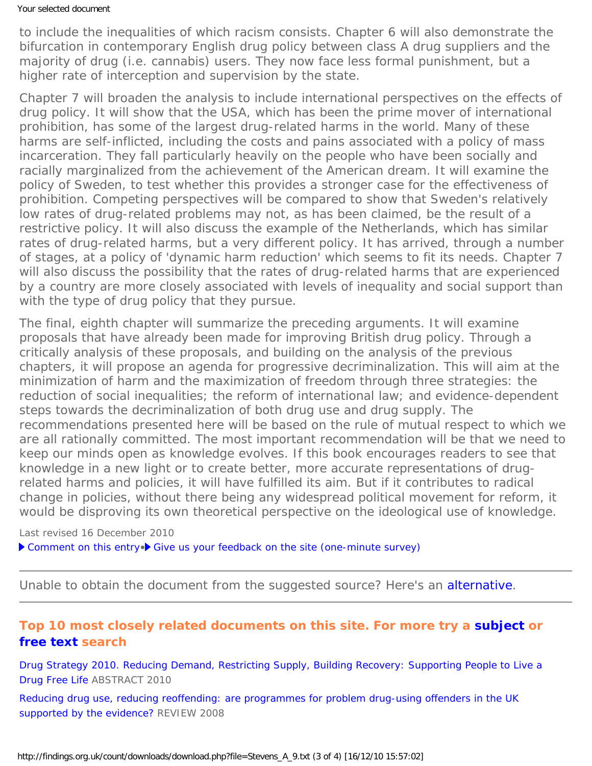#### Your selected document

to include the inequalities of which racism consists. Chapter 6 will also demonstrate the bifurcation in contemporary English drug policy between class A drug suppliers and the majority of drug (i.e. cannabis) users. They now face less formal punishment, but a higher rate of interception and supervision by the state.

Chapter 7 will broaden the analysis to include international perspectives on the effects of drug policy. It will show that the USA, which has been the prime mover of international prohibition, has some of the largest drug-related harms in the world. Many of these harms are self-inflicted, including the costs and pains associated with a policy of mass incarceration. They fall particularly heavily on the people who have been socially and racially marginalized from the achievement of the American dream. It will examine the policy of Sweden, to test whether this provides a stronger case for the effectiveness of prohibition. Competing perspectives will be compared to show that Sweden's relatively low rates of drug-related problems may not, as has been claimed, be the result of a restrictive policy. It will also discuss the example of the Netherlands, which has similar rates of drug-related harms, but a very different policy. It has arrived, through a number of stages, at a policy of 'dynamic harm reduction' which seems to fit its needs. Chapter 7 will also discuss the possibility that the rates of drug-related harms that are experienced by a country are more closely associated with levels of inequality and social support than with the type of drug policy that they pursue.

The final, eighth chapter will summarize the preceding arguments. It will examine proposals that have already been made for improving British drug policy. Through a critically analysis of these proposals, and building on the analysis of the previous chapters, it will propose an agenda for progressive decriminalization. This will aim at the minimization of harm and the maximization of freedom through three strategies: the reduction of social inequalities; the reform of international law; and evidence-dependent steps towards the decriminalization of both drug use and drug supply. The recommendations presented here will be based on the rule of mutual respect to which we are all rationally committed. The most important recommendation will be that we need to keep our minds open as knowledge evolves. If this book encourages readers to see that knowledge in a new light or to create better, more accurate representations of drugrelated harms and policies, it will have fulfilled its aim. But if it contributes to radical change in policies, without there being any widespread political movement for reform, it would be disproving its own theoretical perspective on the ideological use of knowledge.

Last revised 16 December 2010 ▶ [Comment on this entry](mailto:editor@findings.org.uk?Subject=Findings%20entry:%20Drugs,%20crime%20and%20public%20health:%20the%20political%20economy%20of%20drug%20policy)•▶ [Give us your feedback on the site \(one-minute survey\)](http://www.surveymonkey.com/s/C2PX7D5)

Unable to obtain the document from the suggested source? Here's an [alternative](http://books.google.co.uk/books?id=Bh9VPgAACAAJ&dq=Drugs,+crime+and+public+health:+the+political+economy+of+drug+policy&ei=ac8JTee8KILwULOiqNML&cd=1).

## **Top 10 most closely related documents on this site. For more try a [subject](https://findings.org.uk/topic_search.htm) or [free text](https://findings.org.uk/free_search.htm) search**

[Drug Strategy 2010. Reducing Demand, Restricting Supply, Building Recovery: Supporting People to Live a](https://findings.org.uk/count/downloads/download.php?file=HM_Government_3.txt)  [Drug Free Life](https://findings.org.uk/count/downloads/download.php?file=HM_Government_3.txt) ABSTRACT 2010

[Reducing drug use, reducing reoffending: are programmes for problem drug-using offenders in the UK](https://findings.org.uk/count/downloads/download.php?file=UKDPC_1.txt) [supported by the evidence?](https://findings.org.uk/count/downloads/download.php?file=UKDPC_1.txt) REVIEW 2008